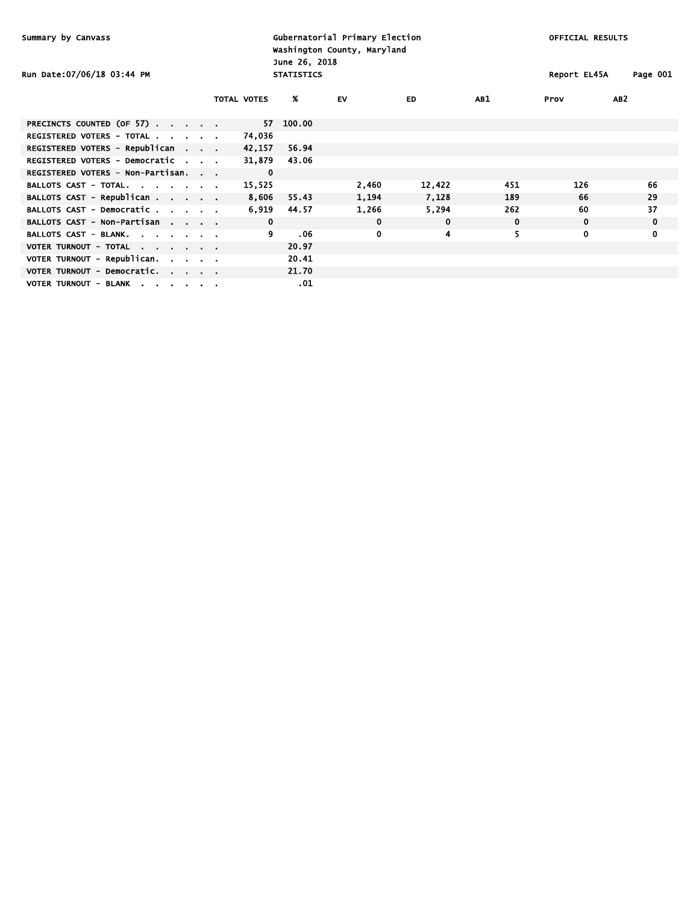| Summary by Canvass<br>Run Date:07/06/18 03:44 PM |              | June 26, 2018<br><b>STATISTICS</b> | Gubernatorial Primary Election<br>Washington County, Maryland |             | <b>OFFICIAL RESULTS</b><br>Report EL45A<br>Page 001 |      |                 |
|--------------------------------------------------|--------------|------------------------------------|---------------------------------------------------------------|-------------|-----------------------------------------------------|------|-----------------|
|                                                  | TOTAL VOTES  | х                                  | EV                                                            | <b>ED</b>   | AB1                                                 | Prov | AB <sub>2</sub> |
|                                                  |              |                                    |                                                               |             |                                                     |      |                 |
| PRECINCTS COUNTED (OF 57)                        | 57           | 100.00                             |                                                               |             |                                                     |      |                 |
| REGISTERED VOTERS - TOTAL                        | 74,036       |                                    |                                                               |             |                                                     |      |                 |
| REGISTERED VOTERS - Republican                   | 42,157       | 56.94                              |                                                               |             |                                                     |      |                 |
| REGISTERED VOTERS - Democratic                   | 31,879       | 43.06                              |                                                               |             |                                                     |      |                 |
| REGISTERED VOTERS - Non-Partisan.                | $\mathbf 0$  |                                    |                                                               |             |                                                     |      |                 |
| BALLOTS CAST - TOTAL.                            | 15,525       |                                    | 2,460                                                         | 12,422      | 451                                                 | 126  | 66              |
| BALLOTS CAST - Republican                        | 8,606        | 55.43                              | 1,194                                                         | 7,128       | 189                                                 | 66   | 29              |
| BALLOTS CAST - Democratic                        | 6,919        | 44.57                              | 1,266                                                         | 5,294       | 262                                                 | 60   | 37              |
| BALLOTS CAST - Non-Partisan                      | $\mathbf{0}$ |                                    | 0                                                             | $\mathbf 0$ | 0                                                   | 0    | 0               |
| BALLOTS CAST - BLANK.                            | 9            | .06                                | 0                                                             | 4           | 5                                                   | 0    | 0               |
| VOTER TURNOUT - TOTAL                            |              | 20.97                              |                                                               |             |                                                     |      |                 |
| VOTER TURNOUT - Republican.                      |              | 20.41                              |                                                               |             |                                                     |      |                 |
| VOTER TURNOUT - Democratic.                      |              | 21.70                              |                                                               |             |                                                     |      |                 |
| VOTER TURNOUT - BLANK                            |              | .01                                |                                                               |             |                                                     |      |                 |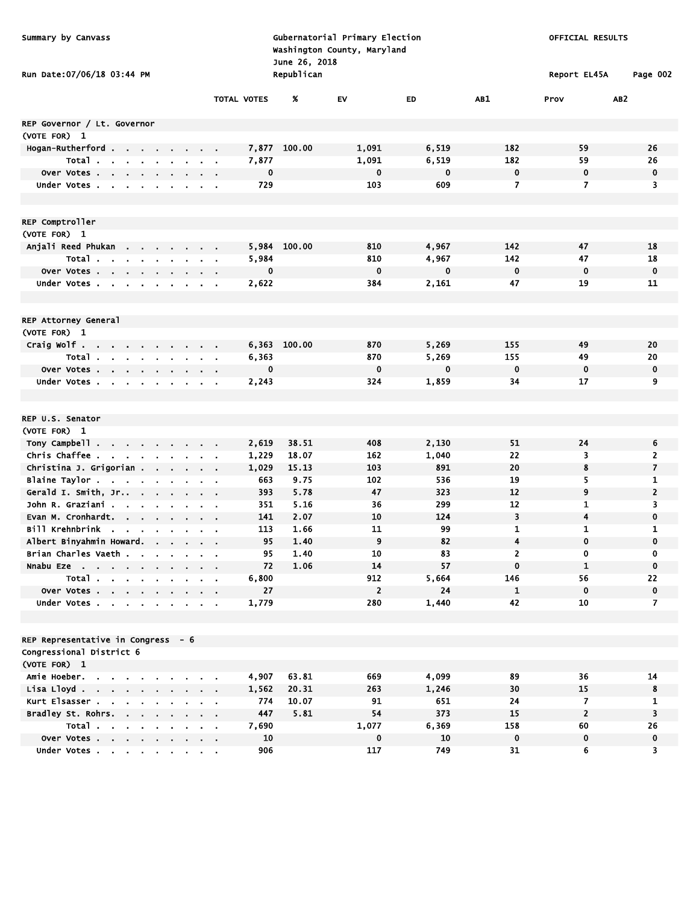| Summary by Canvass<br>Run Date: 07/06/18 03:44 PM |  |        |                           |                             |                    | June 26, 2018<br>Republican | Gubernatorial Primary Election<br>Washington County, Maryland |             | OFFICIAL RESULTS<br>Report EL45A | Page 002       |                         |
|---------------------------------------------------|--|--------|---------------------------|-----------------------------|--------------------|-----------------------------|---------------------------------------------------------------|-------------|----------------------------------|----------------|-------------------------|
|                                                   |  |        |                           |                             | <b>TOTAL VOTES</b> | X                           | EV                                                            | ED          | AB1                              | Prov           | AB <sub>2</sub>         |
| REP Governor / Lt. Governor                       |  |        |                           |                             |                    |                             |                                                               |             |                                  |                |                         |
| (VOTE FOR) 1                                      |  |        |                           |                             |                    |                             |                                                               |             |                                  |                |                         |
| Hogan-Rutherford                                  |  |        |                           |                             | 7,877              | 100.00                      | 1,091                                                         | 6,519       | 182                              | 59             | 26                      |
| Total                                             |  |        |                           |                             | 7,877              |                             | 1,091                                                         | 6,519       | 182                              | 59             | 26                      |
| Over Votes                                        |  |        |                           |                             | $\mathbf 0$        |                             | $\mathbf 0$                                                   | $\mathbf 0$ | $\mathbf 0$                      | $\mathbf 0$    | 0                       |
| Under Votes                                       |  |        |                           |                             | 729                |                             | 103                                                           | 609         | 7                                | $\overline{7}$ | 3                       |
|                                                   |  |        |                           |                             |                    |                             |                                                               |             |                                  |                |                         |
| REP Comptroller                                   |  |        |                           |                             |                    |                             |                                                               |             |                                  |                |                         |
| (VOTE FOR) 1                                      |  |        |                           |                             |                    |                             |                                                               |             |                                  |                |                         |
| Anjali Reed Phukan                                |  |        | $\mathbf{a} = \mathbf{0}$ |                             | 5,984              | 100.00                      | 810                                                           | 4,967       | 142                              | 47             | 18                      |
| Total                                             |  |        |                           |                             | 5,984              |                             | 810                                                           | 4,967       | 142                              | 47             | 18                      |
| Over Votes                                        |  |        |                           |                             | $\mathbf 0$        |                             | $\mathbf{o}$                                                  | $\mathbf 0$ | $\mathbf 0$                      | $\mathbf 0$    | $\mathbf 0$             |
| Under Votes                                       |  |        |                           |                             | 2,622              |                             | 384                                                           | 2,161       | 47                               | 19             | 11                      |
|                                                   |  |        |                           |                             |                    |                             |                                                               |             |                                  |                |                         |
| REP Attorney General                              |  |        |                           |                             |                    |                             |                                                               |             |                                  |                |                         |
| (VOTE FOR) 1                                      |  |        |                           |                             |                    |                             |                                                               |             |                                  |                |                         |
| Craig Wolf                                        |  |        |                           |                             | 6,363              | 100.00                      | 870                                                           | 5,269       | 155                              | 49             | 20                      |
| Total                                             |  |        |                           |                             | 6,363              |                             | 870                                                           | 5,269       | 155                              | 49             | 20                      |
| Over Votes                                        |  |        |                           | $\mathbf{r} = \mathbf{r}$   | $\mathbf 0$        |                             | $\mathbf 0$                                                   | $\mathbf 0$ | $\mathbf 0$                      | $\mathbf 0$    | $\mathbf 0$             |
| Under Votes                                       |  |        |                           |                             | 2,243              |                             | 324                                                           | 1,859       | 34                               | 17             | 9                       |
|                                                   |  |        |                           |                             |                    |                             |                                                               |             |                                  |                |                         |
| REP U.S. Senator                                  |  |        |                           |                             |                    |                             |                                                               |             |                                  |                |                         |
| (VOTE FOR) 1                                      |  |        |                           |                             |                    |                             |                                                               |             |                                  |                |                         |
| Tony Campbell                                     |  |        |                           |                             | 2,619              | 38.51                       | 408                                                           | 2,130       | 51                               | 24             | 6                       |
| Chris Chaffee                                     |  |        |                           |                             | 1,229              | 18.07                       | 162                                                           | 1,040       | 22                               | 3              | 2                       |
| Christina J. Grigorian                            |  |        |                           |                             | 1,029              | 15.13                       | 103                                                           | 891         | 20                               | 8              | $\overline{\mathbf{z}}$ |
| Blaine Taylor                                     |  |        |                           |                             | 663                | 9.75                        | 102                                                           | 536         | 19                               | 5              | 1                       |
| Gerald I. Smith, Jr                               |  |        |                           | $\mathbf{r} = \mathbf{r}$   | 393                | 5.78                        | 47                                                            | 323         | 12                               | 9              | $\mathbf{2}$            |
| John R. Graziani                                  |  |        | $\sim 100$ km s $^{-1}$   |                             | 351                | 5.16                        | 36                                                            | 299         | 12                               | 1              | 3                       |
| Evan M. Cronhardt.                                |  |        |                           |                             | 141                | 2.07                        | 10                                                            | 124         | 3                                | 4              | 0                       |
| Bill Krehnbrink<br>$\sim$                         |  |        |                           |                             | 113                | 1.66                        | 11                                                            | 99          | $\mathbf{1}$                     | $\mathbf{1}$   | 1                       |
| Albert Binyahmin Howard.                          |  |        |                           |                             | 95                 | 1.40                        | $\overline{9}$                                                | 82          | 4                                | 0              | 0                       |
| Brian Charles Vaeth                               |  |        |                           |                             | 95                 | 1.40                        | 10                                                            | 83          | 2                                | $\mathbf 0$    | 0                       |
| Nnabu Eze                                         |  |        |                           |                             | 72                 | 1.06                        | 14                                                            | 57          | $\mathbf 0$                      | $\mathbf{1}$   | 0                       |
| Total                                             |  |        |                           |                             | 6,800              |                             | 912                                                           | 5,664       | 146                              | 56             | 22                      |
| Over Votes                                        |  |        |                           | $\sim$ $\sim$               | 27                 |                             | $\overline{2}$                                                | 24          | $\mathbf{1}$                     | $\mathbf 0$    | 0                       |
| Under Votes                                       |  | $\sim$ |                           | $\mathcal{A}=\mathcal{A}$ . | 1,779              |                             | 280                                                           | 1,440       | 42                               | 10             | 7                       |
|                                                   |  |        |                           |                             |                    |                             |                                                               |             |                                  |                |                         |
| REP Representative in Congress - 6                |  |        |                           |                             |                    |                             |                                                               |             |                                  |                |                         |
| Congressional District 6                          |  |        |                           |                             |                    |                             |                                                               |             |                                  |                |                         |
| (VOTE FOR) 1                                      |  |        |                           |                             |                    |                             |                                                               |             |                                  |                |                         |
| Amie Hoeber.                                      |  |        |                           |                             | 4,907              | 63.81                       | 669                                                           | 4,099       | 89                               | 36             | 14                      |
| Lisa Lloyd                                        |  |        |                           |                             | 1,562              | 20.31                       | 263                                                           | 1,246       | 30                               | 15             | 8                       |
| Kurt Elsasser                                     |  |        |                           |                             | 774                | 10.07                       | 91                                                            | 651         | 24                               | 7              | 1                       |
| Bradley St. Rohrs.                                |  |        |                           |                             | 447                | 5.81                        | 54                                                            | 373         | 15                               | $\overline{2}$ | 3                       |
| Total                                             |  |        |                           |                             | 7,690              |                             | 1,077                                                         | 6,369       | 158                              | 60             | 26                      |
| Over Votes                                        |  |        |                           |                             | 10                 |                             | 0                                                             | 10          | $\mathbf 0$                      | $\mathbf 0$    | 0                       |
| Under Votes                                       |  |        |                           |                             | 906                |                             | 117                                                           | 749         | 31                               | 6              | 3                       |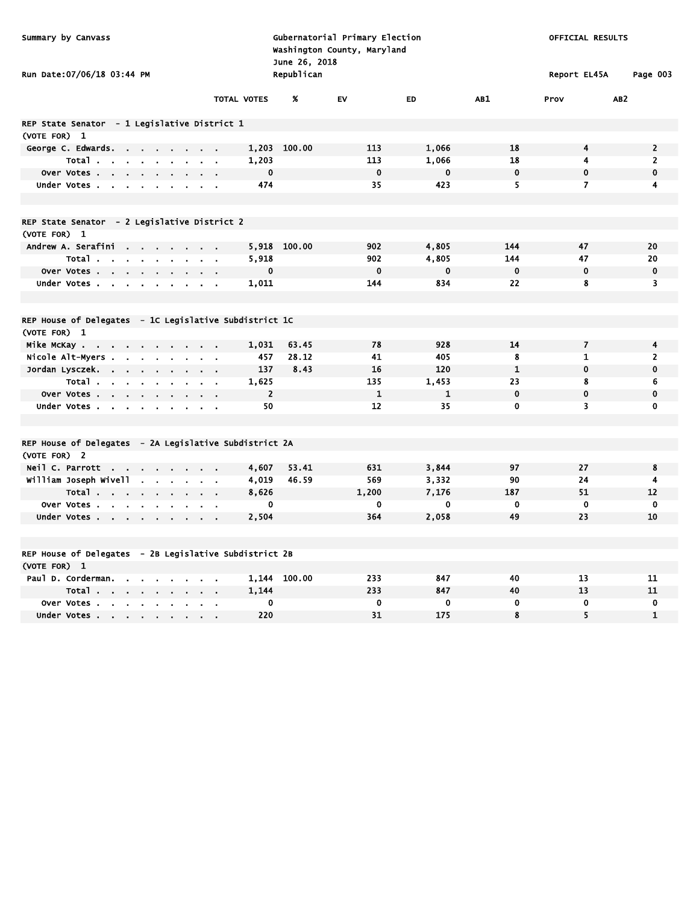| Summary by Canvass                                                                                                                                                               |                    | June 26, 2018 | Gubernatorial Primary Election<br>Washington County, Maryland | OFFICIAL RESULTS |              |                         |                         |
|----------------------------------------------------------------------------------------------------------------------------------------------------------------------------------|--------------------|---------------|---------------------------------------------------------------|------------------|--------------|-------------------------|-------------------------|
| Run Date:07/06/18 03:44 PM                                                                                                                                                       |                    | Republican    |                                                               |                  |              | Report EL45A            | Page 003                |
|                                                                                                                                                                                  | <b>TOTAL VOTES</b> | X             | EV                                                            | ED               | AB1          | Prov                    | AB <sub>2</sub>         |
| REP State Senator - 1 Legislative District 1                                                                                                                                     |                    |               |                                                               |                  |              |                         |                         |
| (VOTE FOR) 1                                                                                                                                                                     |                    |               |                                                               |                  |              |                         |                         |
| George C. Edwards.<br>$\mathbf{r} = \mathbf{r} \cdot \mathbf{r}$<br>$\mathbf{r}$                                                                                                 | 1,203              | 100.00        | 113                                                           | 1,066            | 18           | 4                       | $\overline{2}$          |
| Total                                                                                                                                                                            | 1,203              |               | 113                                                           | 1,066            | 18           | 4                       | $\overline{2}$          |
| Over Votes .<br>$\mathbf{r} = \mathbf{r} + \mathbf{r}$ , where<br>$\sim$ 100 $\sim$<br>$\blacksquare$                                                                            | $\bf{0}$           |               | $\mathbf 0$                                                   | $\mathbf 0$      | $\mathbf 0$  | $\pmb{0}$               | $\mathbf 0$             |
| Under Votes<br>$\sim$<br>$\sim 100$ km s $^{-1}$                                                                                                                                 | 474                |               | 35                                                            | 423              | 5            | $\overline{7}$          | $\overline{\mathbf{4}}$ |
| REP State Senator - 2 Legislative District 2                                                                                                                                     |                    |               |                                                               |                  |              |                         |                         |
| (VOTE FOR) 1                                                                                                                                                                     |                    |               |                                                               |                  |              |                         |                         |
| Andrew A. Serafini<br>$\mathbf{a} = \mathbf{a} + \mathbf{a} + \mathbf{a}$ .<br>$\mathbf{a}$ and $\mathbf{a}$                                                                     |                    | 5,918 100.00  | 902                                                           | 4,805            | 144          | 47                      | 20                      |
| Total<br>$\sim$                                                                                                                                                                  | 5,918              |               | 902                                                           | 4,805            | 144          | 47                      | 20                      |
| Over Votes.<br>and a state<br>$\mathbf{r} = \mathbf{r}$ .<br>$\blacksquare$<br>$\sim$                                                                                            | $\mathbf 0$        |               | $\mathbf 0$                                                   | $\mathbf 0$      | $\mathbf 0$  | $\mathbf 0$             | $\mathbf 0$             |
| Under Votes<br>$\mathbf{a} = \mathbf{a} \cdot \mathbf{a}$                                                                                                                        | 1,011              |               | 144                                                           | 834              | 22           | 8                       | $\overline{\mathbf{3}}$ |
| REP House of Delegates - 1C Legislative Subdistrict 1C                                                                                                                           |                    |               |                                                               |                  |              |                         |                         |
| (VOTE FOR) 1                                                                                                                                                                     |                    |               |                                                               |                  |              |                         |                         |
| Mike McKay                                                                                                                                                                       | 1,031              | 63.45         | 78                                                            | 928              | 14           | $\overline{7}$          | 4                       |
| Nicole Alt-Myers<br>$\sim$ $\sim$<br>$\cdot$<br>$\sim$                                                                                                                           | 457                | 28.12         | 41                                                            | 405              | 8            | 1                       | 2                       |
| Jordan Lysczek.<br>$\mathbf{a} = \mathbf{a} + \mathbf{a}$ , $\mathbf{a} = \mathbf{a}$<br>$\mathbf{r} = \mathbf{r} \cdot \mathbf{r}$<br>$\mathbf{r}$<br>$\mathbf{r} = \mathbf{r}$ | 137                | 8.43          | 16                                                            | 120              | $\mathbf{1}$ | $\mathbf 0$             | 0                       |
| Total.<br>$\mathbf{a} = \mathbf{a} + \mathbf{a} + \mathbf{a} + \mathbf{a}$ .<br>$\sim$<br>$\alpha = 0.1$                                                                         | 1,625              |               | 135                                                           | 1,453            | 23           | 8                       | 6                       |
| Over Votes.<br>ä.<br>$\mathbf{r}$<br>$\sim$<br>$\mathbf{r}$<br>$\mathbf{r}$                                                                                                      | $\overline{2}$     |               | $\mathbf{1}$                                                  | $\mathbf{1}$     | $\mathbf 0$  | $\mathbf 0$             | $\mathbf 0$             |
| Under Votes                                                                                                                                                                      | 50                 |               | 12                                                            | 35               | $\mathbf 0$  | $\overline{\mathbf{3}}$ | 0                       |
| REP House of Delegates - 2A Legislative Subdistrict 2A                                                                                                                           |                    |               |                                                               |                  |              |                         |                         |
| (VOTE FOR) 2                                                                                                                                                                     |                    |               |                                                               |                  |              |                         |                         |
| Neil C. Parrott $\cdots$                                                                                                                                                         | 4,607              | 53.41         | 631                                                           | 3,844            | 97           | 27                      | 8                       |
| William Joseph Wivell<br>$\mathbf{u} = \mathbf{u} + \mathbf{u} + \mathbf{u}$ . Then<br>$\sim 10^{-10}$ m                                                                         | 4,019              | 46.59         | 569                                                           | 3,332            | 90           | 24                      | 4                       |
| Total<br>$\sim$<br>$\mathbf{r} = \mathbf{r}$<br>$\sim$                                                                                                                           | 8,626              |               | 1,200                                                         | 7,176            | 187          | 51                      | 12                      |
| Over Votes.<br>$\sim 10$<br>$\sim$<br>$\mathbf{r}$                                                                                                                               | 0<br>$\mathbf{r}$  |               | 0                                                             | 0                | 0            | 0                       | $\mathbf 0$             |
| Under Votes                                                                                                                                                                      | 2,504              |               | 364                                                           | 2,058            | 49           | 23                      | 10                      |
|                                                                                                                                                                                  |                    |               |                                                               |                  |              |                         |                         |
| REP House of Delegates - 2B Legislative Subdistrict 2B                                                                                                                           |                    |               |                                                               |                  |              |                         |                         |
| (VOTE FOR) 1                                                                                                                                                                     |                    |               |                                                               |                  |              |                         |                         |
| Paul D. Corderman.<br>the company of the company of                                                                                                                              | 1,144              | 100.00        | 233                                                           | 847              | 40           | 13                      | 11                      |
| Total<br>$\alpha = 0.1$                                                                                                                                                          | 1,144              |               | 233                                                           | 847              | 40           | 13                      | 11                      |
| Over Votes.                                                                                                                                                                      | 0                  |               | $\mathbf 0$                                                   | 0                | $\mathbf 0$  | $\mathbf 0$             | $\mathbf 0$             |
| Under Votes<br>$\cdot$<br>$\alpha = 0.1$                                                                                                                                         | 220                |               | 31                                                            | 175              | 8            | 5                       | $\mathbf 1$             |
|                                                                                                                                                                                  |                    |               |                                                               |                  |              |                         |                         |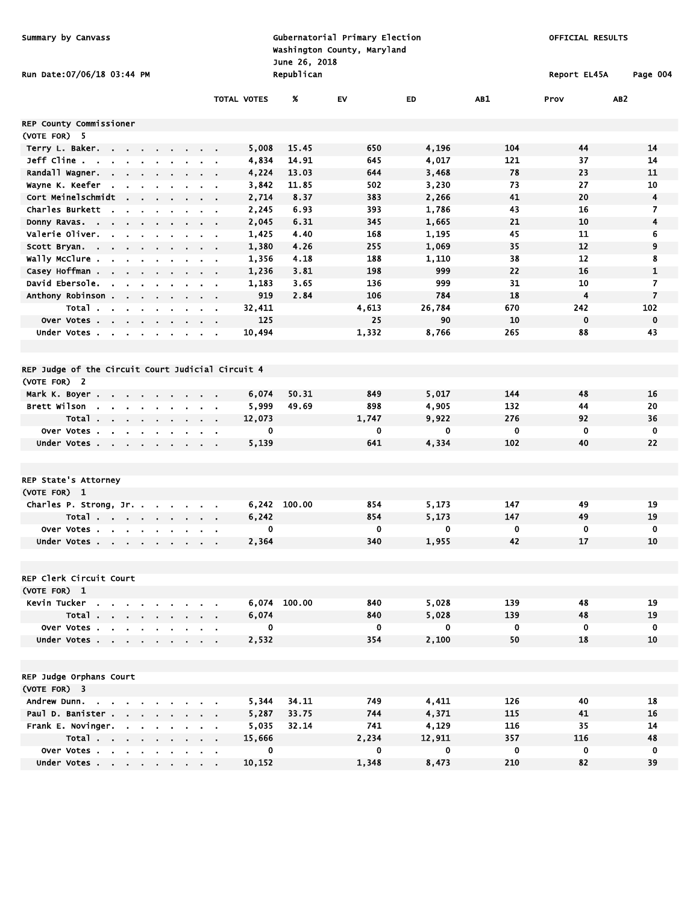| Summary by Canvass<br>Run Date: 07/06/18 03:44 PM                                                 |                                                     | June 26, 2018<br>Republican | Gubernatorial Primary Election<br>Washington County, Maryland |                | OFFICIAL RESULTS<br>Report EL45A | Page 004                |                 |
|---------------------------------------------------------------------------------------------------|-----------------------------------------------------|-----------------------------|---------------------------------------------------------------|----------------|----------------------------------|-------------------------|-----------------|
|                                                                                                   | <b>TOTAL VOTES</b>                                  | $\pmb{\times}$              | <b>EV</b>                                                     | ED             | AB1                              | Prov                    | AB <sub>2</sub> |
| REP County Commissioner                                                                           |                                                     |                             |                                                               |                |                                  |                         |                 |
| (VOTE FOR) 5                                                                                      |                                                     |                             |                                                               |                | 104                              | 44                      |                 |
| Terry L. Baker.<br>Jeff Cline .                                                                   | 5,008<br>$\mathbf{r} = \mathbf{r} \cdot \mathbf{r}$ | 15.45<br>14.91              | 650<br>645                                                    | 4,196<br>4,017 | 121                              | 37                      | 14              |
| $\sim 10$<br>and a strain and a strain<br>Randall Wagner.                                         | 4,834<br>$\mathbf{r} = \mathbf{r}$                  | 13.03                       | 644                                                           | 3,468          | 78                               | 23                      | 14<br>11        |
| the contract of the contract of the<br>Wayne K. Keefer<br>the company of the company of<br>$\sim$ | 4,224<br>3,842                                      | 11.85                       | 502                                                           | 3,230          | 73                               | 27                      | 10              |
| $\mathbf{r}$<br>Cort Meinelschmidt<br>$\mathbf{r}$<br><b>Contract Contract</b><br>$\mathbf{r}$    | 2,714<br>$\sim$ 100 $\pm$                           | 8.37                        | 383                                                           | 2,266          | 41                               | 20                      | 4               |
| Charles Burkett<br>$\mathbf{r} = \mathbf{r}$<br>$\sim 10^{-11}$<br>$\mathbf{r} = \mathbf{r}$ .    | 2,245<br>$\alpha = 0.01$                            | 6.93                        | 393                                                           | 1,786          | 43                               | 16                      | 7               |
| Donny Ravas                                                                                       | 2,045                                               | 6.31                        | 345                                                           | 1,665          | 21                               | 10                      | 4               |
| Valerie Oliver.                                                                                   | 1,425                                               | 4.40                        | 168                                                           | 1,195          | 45                               | 11                      | 6               |
| Scott Bryan.                                                                                      | 1,380                                               | 4.26                        | 255                                                           | 1,069          | 35                               | 12                      | 9               |
| wally McClure .<br>$\mathbf{r} = \mathbf{r}$                                                      | 1,356                                               | 4.18                        | 188                                                           | 1,110          | 38                               | 12                      | 8               |
| Casey Hoffman<br>$\sim$<br>$\sim 100$<br>$\sim$                                                   | 1,236<br>$\mathbf{r} = \mathbf{r}$                  | 3.81                        | 198                                                           | 999            | 22                               | 16                      | 1               |
| David Ebersole.<br>$\sim 10^{-11}$<br>$\alpha$ , $\beta$ , $\alpha$                               | 1,183<br>$\mathbf{r} = \mathbf{r}$                  | 3.65                        | 136                                                           | 999            | 31                               | 10                      | 7               |
| Anthony Robinson                                                                                  | 919                                                 | 2.84                        | 106                                                           | 784            | 18                               | $\overline{\mathbf{4}}$ | $\overline{7}$  |
| Total                                                                                             | 32,411<br>$\sim 10$ $\mu$                           |                             | 4,613                                                         | 26,784         | 670                              | 242                     | 102             |
| Over Votes                                                                                        | 125                                                 |                             | 25                                                            | 90             | 10                               | $\mathbf 0$             | $\mathbf 0$     |
| Under Votes                                                                                       | 10,494<br>$\alpha$ , $\beta$ , $\alpha$             |                             | 1,332                                                         | 8,766          | 265                              | 88                      | 43              |
| REP Judge of the Circuit Court Judicial Circuit 4                                                 |                                                     |                             |                                                               |                |                                  |                         |                 |
| (VOTE FOR) 2                                                                                      |                                                     |                             |                                                               |                |                                  |                         |                 |
| Mark K. Boyer.                                                                                    | 6,074                                               | 50.31                       | 849                                                           | 5,017          | 144                              | 48                      | 16              |
| Brett Wilson<br>the contract of the contract of                                                   | 5,999<br>$\alpha$ , $\beta$ , $\alpha$              | 49.69                       | 898                                                           | 4,905          | 132                              | 44                      | 20              |
| Total.                                                                                            | 12,073                                              |                             | 1,747                                                         | 9,922          | 276                              | 92                      | 36              |
| Over Votes<br><b>Contract</b>                                                                     | 0                                                   |                             | 0                                                             | 0              | $\mathbf 0$                      | 0                       | 0               |
| Under Votes                                                                                       | 5,139<br>$\sim$ $\sim$                              |                             | 641                                                           | 4,334          | 102                              | 40                      | 22              |
|                                                                                                   |                                                     |                             |                                                               |                |                                  |                         |                 |
|                                                                                                   |                                                     |                             |                                                               |                |                                  |                         |                 |
| REP State's Attorney                                                                              |                                                     |                             |                                                               |                |                                  |                         |                 |
| (VOTE FOR) 1                                                                                      |                                                     |                             |                                                               |                |                                  |                         |                 |
| Charles P. Strong, Jr.                                                                            | 6,242                                               | 100.00                      | 854                                                           | 5,173          | 147<br>147                       | 49                      | 19              |
| Total<br>Over Votes                                                                               | 6,242<br>$\mathbf{r} = \mathbf{r}$<br>0             |                             | 854<br>0                                                      | 5,173<br>0     | 0                                | 49<br>0                 | 19<br>0         |
|                                                                                                   | $\alpha$ , $\beta$ , $\alpha$<br>2,364              |                             | 340                                                           | 1,955          | 42                               | $17\,$                  | 10              |
| Under Votes                                                                                       |                                                     |                             |                                                               |                |                                  |                         |                 |
| REP Clerk Circuit Court                                                                           |                                                     |                             |                                                               |                |                                  |                         |                 |
| (VOTE FOR) 1                                                                                      |                                                     |                             |                                                               |                |                                  |                         |                 |
| Kevin Tucker                                                                                      | 6,074                                               | 100.00                      | 840                                                           | 5,028          | 139                              | 48                      | 19              |
| Total                                                                                             | 6,074                                               |                             | 840                                                           | 5,028          | 139                              | 48                      | 19              |
| Over Votes                                                                                        | $\overline{\mathbf{0}}$                             |                             | $\mathbf 0$                                                   | $\mathbf 0$    | $\mathbf 0$                      | $\mathbf 0$             | $\mathbf 0$     |
| Under Votes                                                                                       | 2,532                                               |                             | 354                                                           | 2,100          | 50                               | 18                      | 10              |
|                                                                                                   |                                                     |                             |                                                               |                |                                  |                         |                 |
| REP Judge Orphans Court                                                                           |                                                     |                             |                                                               |                |                                  |                         |                 |
| (VOTE FOR) 3                                                                                      |                                                     |                             |                                                               |                |                                  |                         |                 |
| Andrew Dunn.                                                                                      | 5,344                                               | 34.11                       | 749                                                           | 4,411          | 126                              | 40                      | 18              |
| Paul D. Banister                                                                                  | 5,287                                               | 33.75                       | 744                                                           | 4,371          | 115                              | 41                      | 16              |
| Frank E. Novinger.                                                                                | 5,035                                               | 32.14                       | 741                                                           | 4,129          | 116                              | 35                      | 14              |
| Total                                                                                             | 15,666                                              |                             | 2,234                                                         | 12,911         | 357                              | 116                     | 48              |
| Over Votes                                                                                        | 0<br>$\mathbf{a} = \mathbf{a} \cdot \mathbf{a}$     |                             | 0                                                             | $\mathbf 0$    | $\mathbf 0$                      | $\mathbf 0$             | $\mathbf 0$     |
| Under Votes                                                                                       | 10,152                                              |                             | 1,348                                                         | 8,473          | 210                              | 82                      | 39              |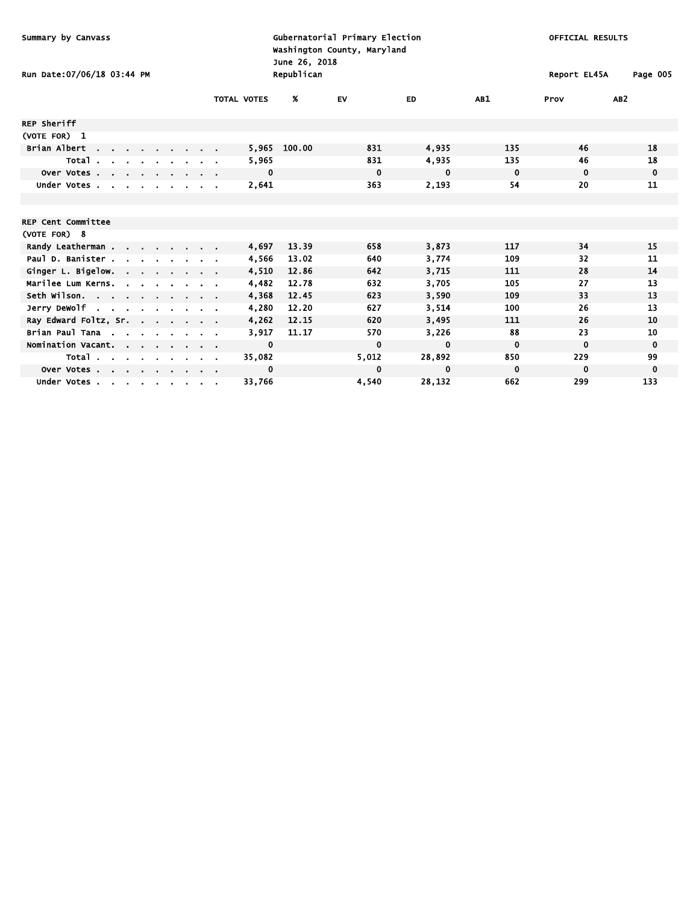| Summary by Canvass                                         |  |                  | June 26, 2018      | Gubernatorial Primary Election<br>Washington County, Maryland |             | OFFICIAL RESULTS |             |              |                 |
|------------------------------------------------------------|--|------------------|--------------------|---------------------------------------------------------------|-------------|------------------|-------------|--------------|-----------------|
| Run Date: 07/06/18 03:44 PM                                |  |                  |                    | Republican                                                    |             |                  |             | Report EL45A | Page 005        |
|                                                            |  |                  | <b>TOTAL VOTES</b> | Х                                                             | EV          | <b>ED</b>        | AB1         | Prov         | AB <sub>2</sub> |
| <b>REP Sheriff</b>                                         |  |                  |                    |                                                               |             |                  |             |              |                 |
| (VOTE FOR) 1                                               |  |                  |                    |                                                               |             |                  |             |              |                 |
| Brian Albert<br>$\sim$<br>and a strategic con-             |  |                  | 5,965              | 100.00                                                        | 831         | 4,935            | 135         | 46           | 18              |
| Total.<br>$\mathbf{r} = \mathbf{r}$<br>the contract of the |  |                  | 5,965              |                                                               | 831         | 4,935            | 135         | 46           | 18              |
| Over Votes                                                 |  |                  | $\mathbf 0$        |                                                               | 0           | 0                | 0           | $\mathbf 0$  | $\mathbf 0$     |
| Under Votes                                                |  | $\sim$ 100 $\pm$ | 2,641              |                                                               | 363         | 2,193            | 54          | 20           | 11              |
|                                                            |  |                  |                    |                                                               |             |                  |             |              |                 |
|                                                            |  |                  |                    |                                                               |             |                  |             |              |                 |
| <b>REP Cent Committee</b>                                  |  |                  |                    |                                                               |             |                  |             |              |                 |
| (VOTE FOR) 8                                               |  |                  |                    |                                                               |             |                  |             |              |                 |
| Randy Leatherman                                           |  |                  | 4,697              | 13.39                                                         | 658         | 3,873            | 117         | 34           | 15              |
| Paul D. Banister                                           |  |                  | 4,566              | 13.02                                                         | 640         | 3,774            | 109         | 32           | 11              |
| Ginger L. Bigelow.                                         |  |                  | 4,510              | 12.86                                                         | 642         | 3,715            | 111         | 28           | 14              |
| Marilee Lum Kerns.                                         |  |                  | 4,482              | 12.78                                                         | 632         | 3,705            | 105         | 27           | 13              |
| Seth Wilson.                                               |  |                  | 4,368              | 12.45                                                         | 623         | 3,590            | 109         | 33           | 13              |
| Jerry DeWolf                                               |  |                  | 4,280              | 12.20                                                         | 627         | 3,514            | 100         | 26           | 13              |
| Ray Edward Foltz, Sr.                                      |  |                  | 4,262              | 12.15                                                         | 620         | 3,495            | 111         | 26           | 10              |
| Brian Paul Tana                                            |  |                  | 3,917              | 11.17                                                         | 570         | 3,226            | 88          | 23           | 10              |
| Nomination Vacant.                                         |  |                  | $\mathbf 0$        |                                                               | 0           | $\mathbf 0$      | $\mathbf 0$ | 0            | $\mathbf 0$     |
| Total.<br>$\cdots$                                         |  |                  | 35,082             |                                                               | 5,012       | 28,892           | 850         | 229          | 99              |
| Over Votes                                                 |  |                  | 0                  |                                                               | $\mathbf 0$ | 0                | $\mathbf 0$ | $\mathbf 0$  | 0               |
| Under Votes                                                |  |                  | 33,766             |                                                               | 4,540       | 28.132           | 662         | 299          | 133             |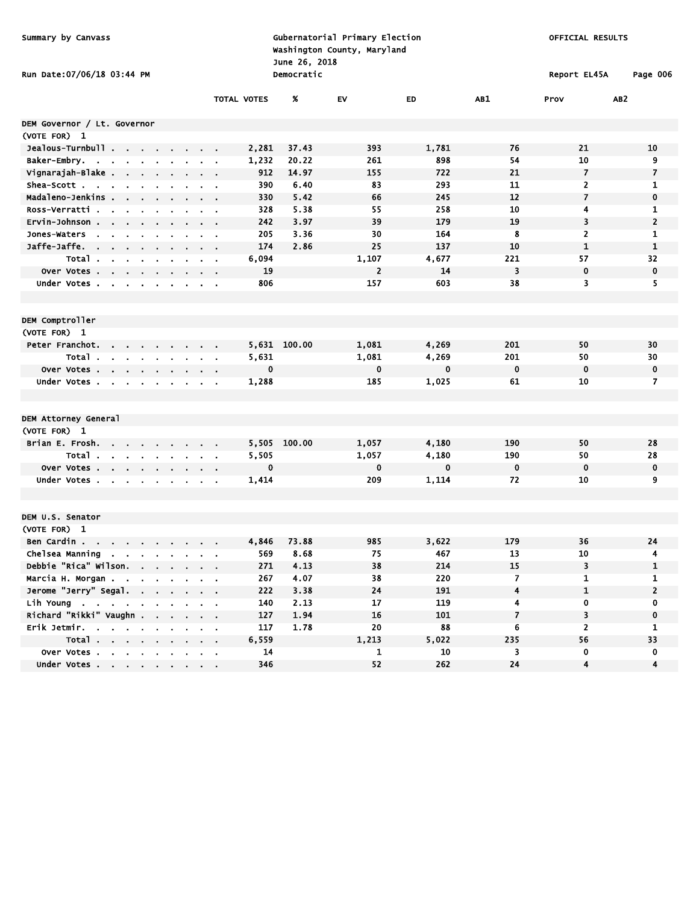| Summary by Canvass<br>Run Date: 07/06/18 03:44 PM |                               |  |              |                          |                | June 26, 2018<br>Democratic                               | Gubernatorial Primary Election<br>Washington County, Maryland | OFFICIAL RESULTS<br>Report EL45A<br>Page 006 |              |                |             |                |                          |                              |
|---------------------------------------------------|-------------------------------|--|--------------|--------------------------|----------------|-----------------------------------------------------------|---------------------------------------------------------------|----------------------------------------------|--------------|----------------|-------------|----------------|--------------------------|------------------------------|
|                                                   |                               |  |              |                          |                |                                                           |                                                               | <b>TOTAL VOTES</b>                           | Х            | <b>EV</b>      | ED          | AB1            | Prov                     | AB <sub>2</sub>              |
| <b>DEM Governor / Lt. Governor</b>                |                               |  |              |                          |                |                                                           |                                                               |                                              |              |                |             |                |                          |                              |
| (VOTE FOR) 1                                      |                               |  |              |                          |                |                                                           |                                                               |                                              |              |                |             |                |                          |                              |
| Jealous-Turnbull                                  |                               |  |              |                          |                | $\mathbf{a}$ and $\mathbf{b}$                             |                                                               | 2,281                                        | 37.43        | 393            | 1,781       | 76             | 21                       | 10                           |
| Baker-Embry                                       |                               |  |              |                          | $\sim$         | $\mathbf{r}$                                              |                                                               | 1,232                                        | 20.22        | 261            | 898         | 54             | 10                       | 9                            |
| Vignarajah-Blake                                  |                               |  |              |                          |                |                                                           |                                                               | 912                                          | 14.97        | 155            | 722         | 21             | 7                        | $\overline{7}$               |
| Shea-Scott                                        |                               |  |              |                          |                |                                                           | <b>Contract Contract</b>                                      | 390                                          | 6.40         | 83             | 293         | 11             | $\overline{2}$           | 1                            |
| Madaleno-Jenkins                                  |                               |  |              |                          |                |                                                           | $\mathbf{r} = \mathbf{r}$                                     | 330                                          | 5.42         | 66             | 245         | 12             | $\overline{\phantom{a}}$ | 0                            |
| Ross-Verratti                                     |                               |  |              |                          |                |                                                           | $\alpha = 0.01$                                               | 328                                          | 5.38         | 55             | 258         | 10             | 4                        | 1                            |
| Ervin-Johnson                                     |                               |  |              |                          |                |                                                           | $\sim$ 100 $\pm$                                              | 242                                          | 3.97         | 39             | 179         | 19             | 3                        | $\overline{2}$               |
| Jones-Waters<br><b>Contract Contract</b>          |                               |  |              |                          |                |                                                           | $\mathbf{r} = \mathbf{r} \cdot \mathbf{r}$                    | 205                                          | 3.36         | 30             | 164         | 8              | $\overline{2}$           | 1                            |
| Jaffe-Jaffe.                                      |                               |  |              |                          |                |                                                           |                                                               | 174                                          | 2.86         | 25             | 137         | 10             | $\mathbf{1}$             | 1                            |
| Total .<br>$\sim$                                 |                               |  |              |                          |                |                                                           |                                                               | 6,094                                        |              | 1,107          | 4,677       | 221            | 57                       | 32                           |
| Over Votes                                        |                               |  |              | $\sim 10^{-1}$<br>$\sim$ | $\blacksquare$ |                                                           | $\sim$ 100 $\pm$                                              | 19                                           |              | $\overline{2}$ | 14          | 3              | $\bf{0}$                 | 0                            |
| Under Votes                                       |                               |  | $\mathbf{r}$ | $\blacksquare$           | $\mathbf{r}$   |                                                           |                                                               | 806                                          |              | 157            | 603         | 38             | 3                        | 5                            |
|                                                   |                               |  |              |                          |                |                                                           |                                                               |                                              |              |                |             |                |                          |                              |
| DEM Comptroller                                   |                               |  |              |                          |                |                                                           |                                                               |                                              |              |                |             |                |                          |                              |
| (VOTE FOR) 1                                      |                               |  |              |                          |                |                                                           |                                                               |                                              |              |                |             |                |                          |                              |
| Peter Franchot.                                   | the company of the company of |  |              |                          |                |                                                           |                                                               |                                              | 5,631 100.00 | 1,081          | 4,269       | 201            | 50                       | 30                           |
| Total                                             |                               |  |              |                          |                |                                                           |                                                               | 5,631                                        |              | 1,081          | 4,269       | 201            | 50                       | 30                           |
| over Votes.                                       | <b>Contract Contract</b>      |  |              |                          |                |                                                           |                                                               | $\mathbf 0$                                  |              | 0              | $\mathbf 0$ | $\mathbf 0$    | $\mathbf 0$              | 0                            |
| Under Votes                                       |                               |  |              |                          |                |                                                           |                                                               | 1,288                                        |              | 185            | 1,025       | 61             | 10                       | $\overline{z}$               |
|                                                   |                               |  |              |                          |                |                                                           |                                                               |                                              |              |                |             |                |                          |                              |
| DEM Attorney General                              |                               |  |              |                          |                |                                                           |                                                               |                                              |              |                |             |                |                          |                              |
| (VOTE FOR) 1                                      |                               |  |              |                          |                |                                                           |                                                               |                                              |              |                |             |                |                          |                              |
| Brian E. Frosh.                                   |                               |  |              |                          |                |                                                           |                                                               | 5,505                                        | 100.00       | 1,057          | 4,180       | 190            | 50                       | 28                           |
| Total                                             |                               |  |              |                          |                |                                                           |                                                               | 5,505                                        |              | 1,057          | 4,180       | 190            | 50                       | 28                           |
| Over Votes                                        |                               |  |              |                          |                |                                                           |                                                               | $\mathbf 0$                                  |              | $\mathbf 0$    | $\mathbf 0$ | $\mathbf 0$    | $\mathbf 0$              | $\mathbf 0$                  |
| Under Votes                                       |                               |  |              |                          |                |                                                           |                                                               | 1,414                                        |              | 209            | 1,114       | 72             | 10                       | 9                            |
|                                                   |                               |  |              |                          |                |                                                           |                                                               |                                              |              |                |             |                |                          |                              |
| DEM U.S. Senator                                  |                               |  |              |                          |                |                                                           |                                                               |                                              |              |                |             |                |                          |                              |
| (VOTE FOR) 1                                      |                               |  |              |                          |                |                                                           |                                                               |                                              |              |                |             |                |                          |                              |
| Ben Cardin                                        |                               |  |              |                          |                | $\mathbf{z} = \mathbf{z} + \mathbf{z}$ . The $\mathbf{z}$ |                                                               | 4,846                                        | 73.88        | 985            | 3,622       | 179            | 36                       | 24                           |
| Chelsea Manning                                   |                               |  |              |                          |                |                                                           |                                                               | 569                                          | 8.68         | 75             | 467         | 13             | 10                       | 4                            |
| Debbie "Rica" wilson.                             |                               |  |              |                          |                |                                                           |                                                               | 271                                          | 4.13         | 38             | 214         | 15             | 3                        | $\mathbf{1}$                 |
| Marcia H. Morgan                                  |                               |  |              |                          |                |                                                           |                                                               | 267                                          | 4.07         | 38             | 220         | 7              | 1                        | 1                            |
| Jerome "Jerry" Segal.                             |                               |  |              |                          |                |                                                           |                                                               | 222                                          | 3.38         | 24             | 191         | 4              | $\mathbf{1}$             | $\overline{2}$               |
| Lih Young                                         |                               |  |              |                          |                |                                                           |                                                               | 140                                          | 2.13         | 17             | 119         | 4              | $\mathbf 0$              | 0                            |
| Richard "Rikki" Vaughn                            |                               |  |              |                          |                |                                                           |                                                               | 127                                          | 1.94         | 16             | 101         | $\overline{7}$ | 3                        | 0                            |
|                                                   |                               |  |              |                          |                |                                                           |                                                               |                                              |              | 20             |             | 6              | $\mathbf{2}$             |                              |
| Erik Jetmir.                                      |                               |  |              |                          |                |                                                           |                                                               | 117                                          | 1.78         |                | 88<br>5,022 | 235            | 56                       | 1<br>33                      |
| Total<br>Over Votes                               |                               |  |              |                          |                |                                                           | $\mathbf{r} = \mathbf{r}$                                     | 6,559                                        |              | 1,213          |             |                | $\mathbf 0$              |                              |
|                                                   |                               |  |              |                          |                |                                                           | $\alpha = 0.1$                                                | 14<br>346                                    |              | 1<br>52        | 10<br>262   | 3<br>24        | $\overline{\mathbf{4}}$  | 0<br>$\overline{\mathbf{4}}$ |
| Under Votes                                       |                               |  |              |                          |                |                                                           |                                                               |                                              |              |                |             |                |                          |                              |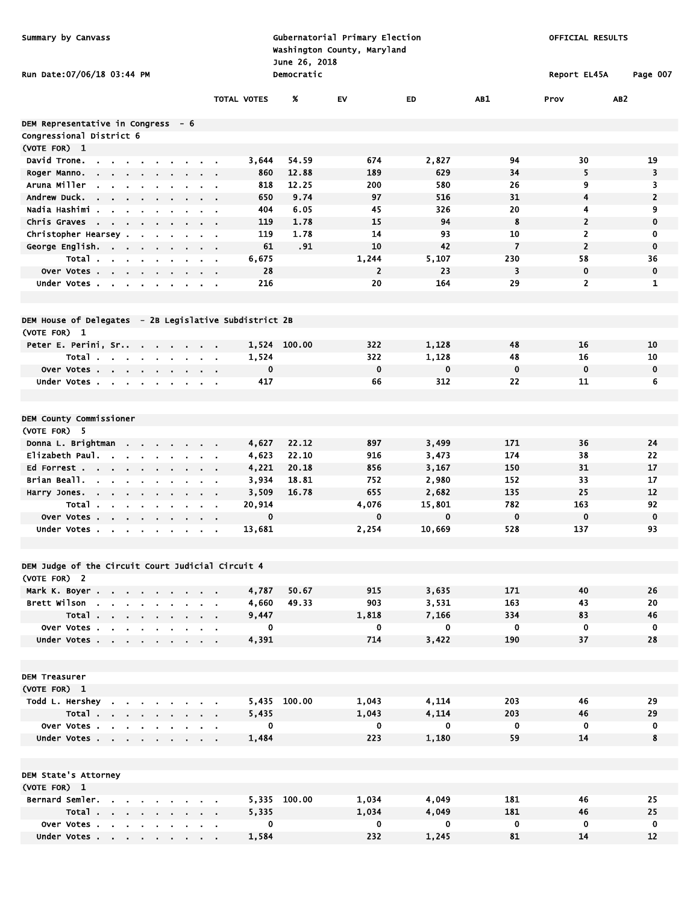| Summary by Canvass                                                                                                       |                    | June 26, 2018 | Gubernatorial Primary Election<br>Washington County, Maryland |                | OFFICIAL RESULTS |                              |                     |
|--------------------------------------------------------------------------------------------------------------------------|--------------------|---------------|---------------------------------------------------------------|----------------|------------------|------------------------------|---------------------|
| Run Date: 07/06/18 03:44 PM                                                                                              |                    | Democratic    |                                                               |                |                  | Report EL45A                 | Page 007            |
|                                                                                                                          | <b>TOTAL VOTES</b> | %             | EV                                                            | ED             | AB1              | Prov                         | AB <sub>2</sub>     |
| DEM Representative in Congress - 6                                                                                       |                    |               |                                                               |                |                  |                              |                     |
| Congressional District 6                                                                                                 |                    |               |                                                               |                |                  |                              |                     |
| (VOTE FOR) 1                                                                                                             |                    |               |                                                               |                |                  |                              |                     |
| David Trone.<br>$\mathbf{r}$                                                                                             | 3,644              | 54.59         | 674                                                           | 2,827          | 94               | 30                           | 19                  |
| Roger Manno.<br>$\sim$<br>$\mathbf{r} = \mathbf{r}$<br>$\sim$<br>$\blacksquare$<br>$\sim$                                | 860                | 12.88         | 189                                                           | 629            | 34               | 5                            | 3                   |
| Aruna Miller<br>$\sim$<br>$\blacksquare$<br>$\mathbf{r}$<br>$\sim$<br>$\blacksquare$                                     | 818                | 12.25         | 200                                                           | 580            | 26               | 9<br>$\overline{\mathbf{4}}$ | 3<br>$\overline{2}$ |
| Andrew Duck.<br>Nadia Hashimi                                                                                            | 650<br>404         | 9.74<br>6.05  | 97<br>45                                                      | 516<br>326     | 31<br>20         | 4                            | 9                   |
| $\sim 10^{-10}$ m $^{-1}$<br>Chris Graves                                                                                | 119                | 1.78          | 15                                                            | 94             | 8                | $\overline{2}$               | 0                   |
| Christopher Hearsey                                                                                                      | 119                | 1.78          | 14                                                            | 93             | 10               | $\overline{\mathbf{2}}$      | 0                   |
| $\mathbf{r} = \mathbf{r}$<br>George English.                                                                             | 61                 | .91           | 10                                                            | 42             | $\overline{7}$   | $\overline{2}$               | 0                   |
| $\alpha$ , $\beta$ , $\alpha$<br>Total                                                                                   | 6,675              |               | 1,244                                                         | 5,107          | 230              | 58                           | 36                  |
| Over Votes                                                                                                               | 28                 |               | $\overline{2}$                                                | 23             | 3                | $\mathbf 0$                  | 0                   |
| $\alpha$ , $\beta$ , $\alpha$<br>Under Votes                                                                             | 216                |               | 20                                                            | 164            | 29               | $\overline{2}$               | 1                   |
|                                                                                                                          |                    |               |                                                               |                |                  |                              |                     |
| DEM House of Delegates - 2B Legislative Subdistrict 2B                                                                   |                    |               |                                                               |                |                  |                              |                     |
| (VOTE FOR) 1                                                                                                             |                    |               |                                                               |                |                  |                              |                     |
| Peter E. Perini, Sr                                                                                                      |                    | 1,524 100.00  | 322                                                           | 1,128          | 48               | 16                           | 10                  |
| Total                                                                                                                    | 1,524              |               | 322                                                           | 1,128          | 48               | 16                           | 10                  |
| Over Votes                                                                                                               | $\mathbf 0$        |               | $\mathbf 0$                                                   | $\mathbf 0$    | $\mathbf 0$      | $\mathbf 0$                  | 0                   |
| Under Votes                                                                                                              | 417                |               | 66                                                            | 312            | 22               | 11                           | 6                   |
|                                                                                                                          |                    |               |                                                               |                |                  |                              |                     |
| DEM County Commissioner                                                                                                  |                    |               |                                                               |                |                  |                              |                     |
| (VOTE FOR) 5                                                                                                             |                    |               |                                                               |                |                  |                              |                     |
| Donna L. Brightman                                                                                                       | 4,627              | 22.12         | 897                                                           | 3,499          | 171              | 36                           | 24                  |
| Elizabeth Paul.<br>$\sim 10$                                                                                             | 4,623              | 22.10         | 916                                                           | 3,473          | 174              | 38                           | 22                  |
| Ed Forrest<br>$\alpha = 0.1$                                                                                             | 4,221              | 20.18         | 856                                                           | 3,167          | 150              | 31                           | 17                  |
| Brian Beall.<br>the company of the company<br>$\sim$<br>$\sim 10^{-11}$<br>$\mathbf{r}$<br>$\alpha$ , $\beta$ , $\alpha$ | 3,934              | 18.81         | 752                                                           | 2,980          | 152              | 33                           | 17                  |
| Harry Jones.                                                                                                             | 3,509              | 16.78         | 655                                                           | 2,682          | 135              | 25                           | 12                  |
| Total                                                                                                                    | 20,914             |               | 4,076                                                         | 15,801         | 782              | 163                          | 92                  |
| Over Votes                                                                                                               | $\mathbf 0$        |               | 0                                                             | $\mathbf 0$    | $\mathbf 0$      | $\mathbf 0$                  | $\mathbf 0$         |
| Under Votes<br>$\sim$<br>$\mathbf{r}$<br>$\sim$<br>$\bullet$                                                             | 13,681             |               | 2,254                                                         | 10,669         | 528              | 137                          | 93                  |
|                                                                                                                          |                    |               |                                                               |                |                  |                              |                     |
|                                                                                                                          |                    |               |                                                               |                |                  |                              |                     |
| DEM Judge of the Circuit Court Judicial Circuit 4                                                                        |                    |               |                                                               |                |                  |                              |                     |
| (VOTE FOR) 2                                                                                                             |                    |               |                                                               |                |                  |                              |                     |
| Mark K. Boyer                                                                                                            | 4,787              | 50.67         | 915                                                           | 3,635          | 171              | 40                           | 26                  |
| Brett Wilson                                                                                                             | 4,660<br>9,447     | 49.33         | 903<br>1,818                                                  | 3,531<br>7,166 | 163<br>334       | 43<br>83                     | 20<br>46            |
| Total<br>Over Votes                                                                                                      | 0                  |               | 0                                                             | 0              | $\mathbf 0$      | 0                            | 0                   |
| Under Votes                                                                                                              | 4,391              |               | 714                                                           | 3,422          | 190              | 37                           | 28                  |
|                                                                                                                          |                    |               |                                                               |                |                  |                              |                     |
|                                                                                                                          |                    |               |                                                               |                |                  |                              |                     |
| DEM Treasurer                                                                                                            |                    |               |                                                               |                |                  |                              |                     |
| (VOTE FOR) 1                                                                                                             |                    |               |                                                               |                |                  |                              |                     |
| Todd L. Hershey                                                                                                          |                    | 5,435 100.00  | 1,043                                                         | 4,114          | 203              | 46                           | 29                  |
| Total                                                                                                                    | 5,435              |               | 1,043                                                         | 4,114          | 203              | 46                           | 29                  |
| Over Votes                                                                                                               | 0                  |               | $\mathbf 0$                                                   | $\mathbf 0$    | 0                | $\mathbf 0$                  | 0                   |
| Under Votes                                                                                                              | 1,484              |               | 223                                                           | 1,180          | 59               | 14                           | 8                   |
|                                                                                                                          |                    |               |                                                               |                |                  |                              |                     |
| DEM State's Attorney                                                                                                     |                    |               |                                                               |                |                  |                              |                     |
| (VOTE FOR) 1                                                                                                             |                    |               |                                                               |                |                  |                              |                     |
|                                                                                                                          |                    | 5,335 100.00  | 1,034                                                         | 4,049          | 181              | 46                           | 25                  |
| Total                                                                                                                    | 5,335              |               | 1,034                                                         | 4,049          | 181              | 46                           | 25                  |
| Over Votes                                                                                                               | $\mathbf 0$        |               | $\mathbf{0}$                                                  | $\mathbf 0$    | $\mathbf 0$      | $\mathbf 0$                  | 0                   |
| Under Votes                                                                                                              | 1,584              |               | 232                                                           | 1,245          | 81               | 14                           | 12                  |